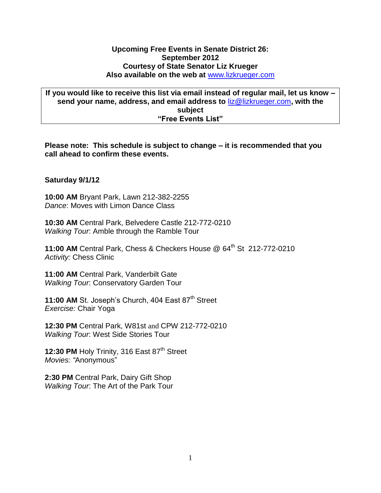## **Upcoming Free Events in Senate District 26: September 2012 Courtesy of State Senator Liz Krueger Also available on the web at** [www.lizkrueger.com](http://www.lizkrueger.com/)

**If you would like to receive this list via email instead of regular mail, let us know – send your name, address, and email address to** [liz@lizkrueger.com](mailto:liz@lizkrueger.com)**, with the subject "Free Events List"**

**Please note: This schedule is subject to change – it is recommended that you call ahead to confirm these events.**

## **Saturday 9/1/12**

**10:00 AM** Bryant Park, Lawn 212-382-2255 *Dance*: Moves with Limon Dance Class

**10:30 AM** Central Park, Belvedere Castle 212-772-0210 *Walking Tour*: Amble through the Ramble Tour

**11:00 AM** Central Park, Chess & Checkers House @ 64<sup>th</sup> St 212-772-0210 *Activity:* Chess Clinic

**11:00 AM** Central Park, Vanderbilt Gate *Walking Tour*: Conservatory Garden Tour

11:00 AM St. Joseph's Church, 404 East 87<sup>th</sup> Street *Exercise:* Chair Yoga

**12:30 PM** Central Park, W81st and CPW 212-772-0210 *Walking Tour*: West Side Stories Tour

12:30 PM Holy Trinity, 316 East 87<sup>th</sup> Street *Movies: "*Anonymous"

**2:30 PM** Central Park, Dairy Gift Shop *Walking Tour*: The Art of the Park Tour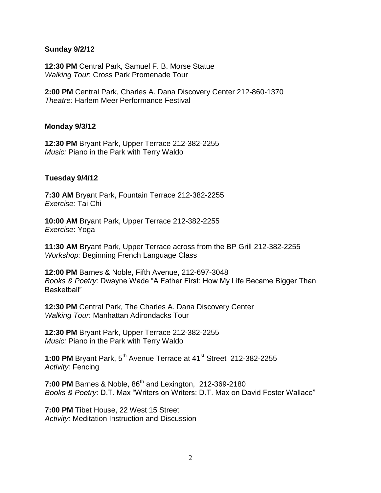### **Sunday 9/2/12**

**12:30 PM** Central Park, Samuel F. B. Morse Statue *Walking Tour*: Cross Park Promenade Tour

**2:00 PM** Central Park, Charles A. Dana Discovery Center 212-860-1370 *Theatre:* Harlem Meer Performance Festival

## **Monday 9/3/12**

**12:30 PM** Bryant Park, Upper Terrace 212-382-2255 *Music:* Piano in the Park with Terry Waldo

## **Tuesday 9/4/12**

**7:30 AM** Bryant Park, Fountain Terrace 212-382-2255 *Exercise:* Tai Chi

**10:00 AM** Bryant Park, Upper Terrace 212-382-2255 *Exercise*: Yoga

**11:30 AM** Bryant Park, Upper Terrace across from the BP Grill 212-382-2255 *Workshop:* Beginning French Language Class

**12:00 PM** Barnes & Noble, Fifth Avenue, 212-697-3048 *Books & Poetry*: Dwayne Wade "A Father First: How My Life Became Bigger Than Basketball"

**12:30 PM** Central Park, The Charles A. Dana Discovery Center *Walking Tour*: Manhattan Adirondacks Tour

**12:30 PM** Bryant Park, Upper Terrace 212-382-2255 *Music:* Piano in the Park with Terry Waldo

1:00 PM Bryant Park, 5<sup>th</sup> Avenue Terrace at 41<sup>st</sup> Street 212-382-2255 *Activity:* Fencing

**7:00 PM** Barnes & Noble, 86<sup>th</sup> and Lexington, 212-369-2180 *Books & Poetry*: D.T. Max "Writers on Writers: D.T. Max on David Foster Wallace"

**7:00 PM** Tibet House, 22 West 15 Street *Activity:* Meditation Instruction and Discussion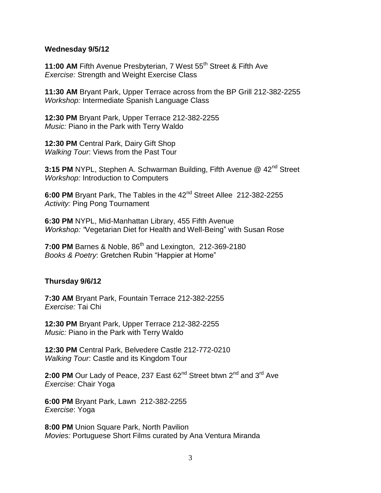#### **Wednesday 9/5/12**

**11:00 AM** Fifth Avenue Presbyterian, 7 West 55<sup>th</sup> Street & Fifth Ave *Exercise:* Strength and Weight Exercise Class

**11:30 AM** Bryant Park, Upper Terrace across from the BP Grill 212-382-2255 *Workshop:* Intermediate Spanish Language Class

**12:30 PM** Bryant Park, Upper Terrace 212-382-2255 *Music:* Piano in the Park with Terry Waldo

**12:30 PM** Central Park, Dairy Gift Shop *Walking Tour*: Views from the Past Tour

3:15 PM NYPL, Stephen A. Schwarman Building, Fifth Avenue @ 42<sup>nd</sup> Street *Workshop:* Introduction to Computers

**6:00 PM** Bryant Park, The Tables in the 42<sup>nd</sup> Street Allee 212-382-2255 *Activity:* Ping Pong Tournament

**6:30 PM** NYPL, Mid-Manhattan Library, 455 Fifth Avenue *Workshop: "*Vegetarian Diet for Health and Well-Being" with Susan Rose

**7:00 PM** Barnes & Noble, 86<sup>th</sup> and Lexington, 212-369-2180 *Books & Poetry*: Gretchen Rubin "Happier at Home"

#### **Thursday 9/6/12**

**7:30 AM** Bryant Park, Fountain Terrace 212-382-2255 *Exercise:* Tai Chi

**12:30 PM** Bryant Park, Upper Terrace 212-382-2255 *Music:* Piano in the Park with Terry Waldo

**12:30 PM** Central Park, Belvedere Castle 212-772-0210 *Walking Tour*: Castle and its Kingdom Tour

2:00 PM Our Lady of Peace, 237 East 62<sup>nd</sup> Street btwn 2<sup>nd</sup> and 3<sup>rd</sup> Ave *Exercise:* Chair Yoga

**6:00 PM** Bryant Park, Lawn 212-382-2255 *Exercise*: Yoga

**8:00 PM** Union Square Park, North Pavilion *Movies:* Portuguese Short Films curated by Ana Ventura Miranda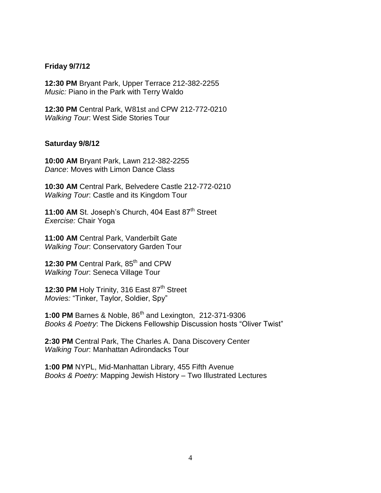## **Friday 9/7/12**

**12:30 PM** Bryant Park, Upper Terrace 212-382-2255 *Music:* Piano in the Park with Terry Waldo

**12:30 PM** Central Park, W81st and CPW 212-772-0210 *Walking Tour*: West Side Stories Tour

#### **Saturday 9/8/12**

**10:00 AM** Bryant Park, Lawn 212-382-2255 *Dance*: Moves with Limon Dance Class

**10:30 AM** Central Park, Belvedere Castle 212-772-0210 *Walking Tour*: Castle and its Kingdom Tour

11:00 AM St. Joseph's Church, 404 East 87<sup>th</sup> Street *Exercise:* Chair Yoga

**11:00 AM** Central Park, Vanderbilt Gate *Walking Tour*: Conservatory Garden Tour

12:30 PM Central Park, 85<sup>th</sup> and CPW *Walking Tour*: Seneca Village Tour

**12:30 PM** Holy Trinity, 316 East 87<sup>th</sup> Street *Movies:* "Tinker, Taylor, Soldier, Spy"

1:00 PM Barnes & Noble, 86<sup>th</sup> and Lexington, 212-371-9306 *Books & Poetry*: The Dickens Fellowship Discussion hosts "Oliver Twist"

**2:30 PM** Central Park, The Charles A. Dana Discovery Center *Walking Tour*: Manhattan Adirondacks Tour

**1:00 PM** NYPL, Mid-Manhattan Library, 455 Fifth Avenue *Books & Poetry:* Mapping Jewish History – Two Illustrated Lectures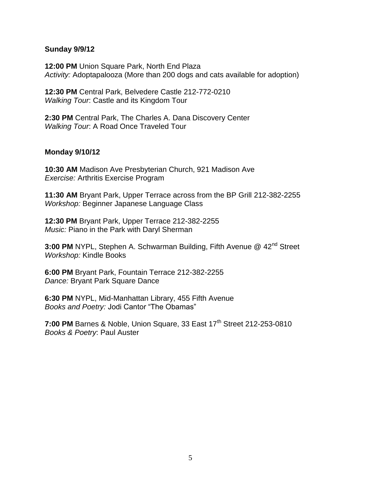### **Sunday 9/9/12**

**12:00 PM** Union Square Park, North End Plaza *Activity:* Adoptapalooza (More than 200 dogs and cats available for adoption)

**12:30 PM** Central Park, Belvedere Castle 212-772-0210 *Walking Tour*: Castle and its Kingdom Tour

**2:30 PM** Central Park, The Charles A. Dana Discovery Center *Walking Tour*: A Road Once Traveled Tour

## **Monday 9/10/12**

**10:30 AM** Madison Ave Presbyterian Church, 921 Madison Ave *Exercise:* Arthritis Exercise Program

**11:30 AM** Bryant Park, Upper Terrace across from the BP Grill 212-382-2255 *Workshop:* Beginner Japanese Language Class

**12:30 PM** Bryant Park, Upper Terrace 212-382-2255 *Music:* Piano in the Park with Daryl Sherman

**3:00 PM** NYPL, Stephen A. Schwarman Building, Fifth Avenue @ 42<sup>nd</sup> Street *Workshop:* Kindle Books

**6:00 PM** Bryant Park, Fountain Terrace 212-382-2255 *Dance:* Bryant Park Square Dance

**6:30 PM** NYPL, Mid-Manhattan Library, 455 Fifth Avenue *Books and Poetry:* Jodi Cantor "The Obamas"

**7:00 PM** Barnes & Noble, Union Square, 33 East 17<sup>th</sup> Street 212-253-0810 *Books & Poetry*: Paul Auster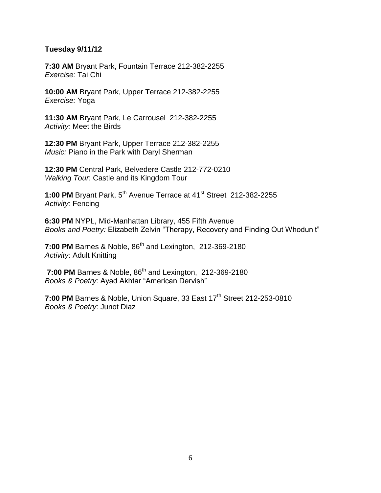## **Tuesday 9/11/12**

**7:30 AM** Bryant Park, Fountain Terrace 212-382-2255 *Exercise:* Tai Chi

**10:00 AM** Bryant Park, Upper Terrace 212-382-2255 *Exercise:* Yoga

**11:30 AM** Bryant Park, Le Carrousel 212-382-2255 *Activity:* Meet the Birds

**12:30 PM** Bryant Park, Upper Terrace 212-382-2255 *Music:* Piano in the Park with Daryl Sherman

**12:30 PM** Central Park, Belvedere Castle 212-772-0210 *Walking Tour*: Castle and its Kingdom Tour

1:00 PM Bryant Park, 5<sup>th</sup> Avenue Terrace at 41<sup>st</sup> Street 212-382-2255 *Activity:* Fencing

**6:30 PM** NYPL, Mid-Manhattan Library, 455 Fifth Avenue *Books and Poetry:* Elizabeth Zelvin "Therapy, Recovery and Finding Out Whodunit"

**7:00 PM** Barnes & Noble, 86<sup>th</sup> and Lexington, 212-369-2180 *Activity*: Adult Knitting

**7:00 PM** Barnes & Noble, 86<sup>th</sup> and Lexington, 212-369-2180 *Books & Poetry*: Ayad Akhtar "American Dervish"

**7:00 PM** Barnes & Noble, Union Square, 33 East 17<sup>th</sup> Street 212-253-0810 *Books & Poetry*: Junot Diaz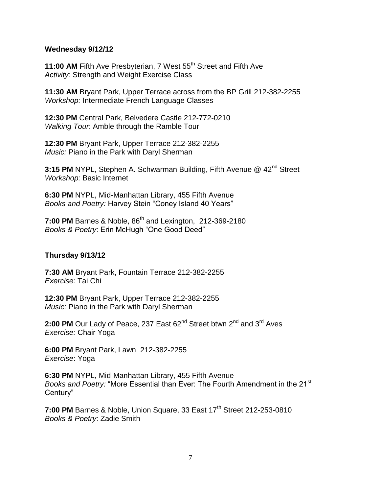### **Wednesday 9/12/12**

**11:00 AM** Fifth Ave Presbyterian, 7 West 55<sup>th</sup> Street and Fifth Ave *Activity:* Strength and Weight Exercise Class

**11:30 AM** Bryant Park, Upper Terrace across from the BP Grill 212-382-2255 *Workshop:* Intermediate French Language Classes

**12:30 PM** Central Park, Belvedere Castle 212-772-0210 *Walking Tour*: Amble through the Ramble Tour

**12:30 PM** Bryant Park, Upper Terrace 212-382-2255 *Music:* Piano in the Park with Daryl Sherman

**3:15 PM** NYPL, Stephen A. Schwarman Building, Fifth Avenue @ 42<sup>nd</sup> Street *Workshop:* Basic Internet

**6:30 PM** NYPL, Mid-Manhattan Library, 455 Fifth Avenue *Books and Poetry:* Harvey Stein "Coney Island 40 Years"

**7:00 PM** Barnes & Noble, 86<sup>th</sup> and Lexington, 212-369-2180 *Books & Poetry*: Erin McHugh "One Good Deed"

# **Thursday 9/13/12**

**7:30 AM** Bryant Park, Fountain Terrace 212-382-2255 *Exercise:* Tai Chi

**12:30 PM** Bryant Park, Upper Terrace 212-382-2255 *Music:* Piano in the Park with Daryl Sherman

2:00 PM Our Lady of Peace, 237 East 62<sup>nd</sup> Street btwn 2<sup>nd</sup> and 3<sup>rd</sup> Aves *Exercise:* Chair Yoga

**6:00 PM** Bryant Park, Lawn 212-382-2255 *Exercise*: Yoga

**6:30 PM** NYPL, Mid-Manhattan Library, 455 Fifth Avenue *Books and Poetry:* "More Essential than Ever: The Fourth Amendment in the 21<sup>st</sup> Century"

**7:00 PM** Barnes & Noble, Union Square, 33 East 17<sup>th</sup> Street 212-253-0810 *Books & Poetry*: Zadie Smith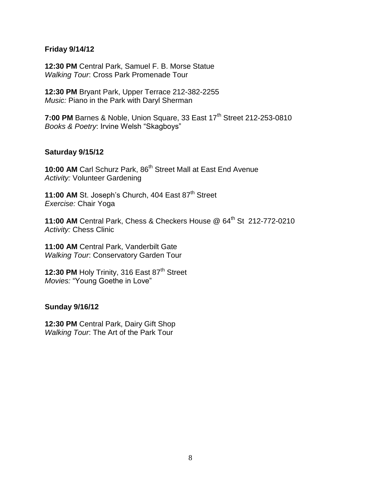## **Friday 9/14/12**

**12:30 PM** Central Park, Samuel F. B. Morse Statue *Walking Tour*: Cross Park Promenade Tour

**12:30 PM** Bryant Park, Upper Terrace 212-382-2255 *Music:* Piano in the Park with Daryl Sherman

**7:00 PM** Barnes & Noble, Union Square, 33 East 17<sup>th</sup> Street 212-253-0810 *Books & Poetry*: Irvine Welsh "Skagboys"

## **Saturday 9/15/12**

**10:00 AM** Carl Schurz Park, 86<sup>th</sup> Street Mall at East End Avenue *Activity:* Volunteer Gardening

11:00 AM St. Joseph's Church, 404 East 87<sup>th</sup> Street *Exercise:* Chair Yoga

**11:00 AM** Central Park, Chess & Checkers House @ 64th St 212-772-0210 *Activity:* Chess Clinic

**11:00 AM** Central Park, Vanderbilt Gate *Walking Tour*: Conservatory Garden Tour

**12:30 PM Holy Trinity, 316 East 87<sup>th</sup> Street** *Movies:* "Young Goethe in Love"

#### **Sunday 9/16/12**

**12:30 PM** Central Park, Dairy Gift Shop *Walking Tour*: The Art of the Park Tour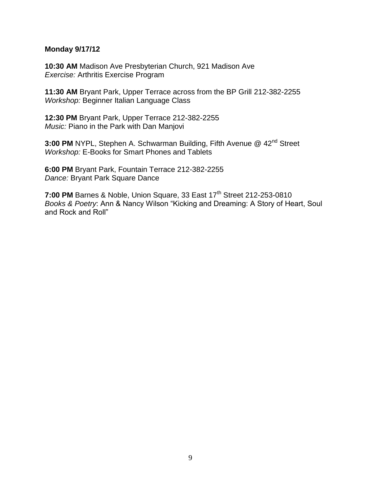#### **Monday 9/17/12**

**10:30 AM** Madison Ave Presbyterian Church, 921 Madison Ave *Exercise:* Arthritis Exercise Program

**11:30 AM** Bryant Park, Upper Terrace across from the BP Grill 212-382-2255 *Workshop:* Beginner Italian Language Class

**12:30 PM** Bryant Park, Upper Terrace 212-382-2255 *Music:* Piano in the Park with Dan Manjovi

**3:00 PM** NYPL, Stephen A. Schwarman Building, Fifth Avenue @ 42nd Street *Workshop:* E-Books for Smart Phones and Tablets

**6:00 PM** Bryant Park, Fountain Terrace 212-382-2255 *Dance:* Bryant Park Square Dance

**7:00 PM** Barnes & Noble, Union Square, 33 East 17<sup>th</sup> Street 212-253-0810 *Books & Poetry*: Ann & Nancy Wilson "Kicking and Dreaming: A Story of Heart, Soul and Rock and Roll"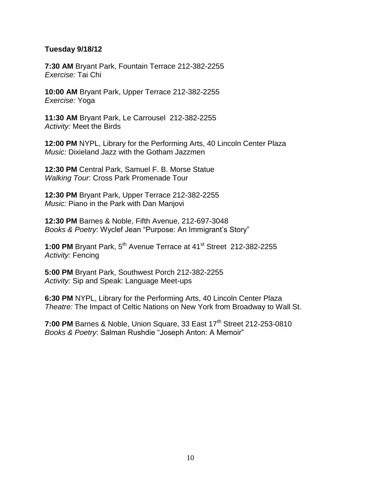## **Tuesday 9/18/12**

**7:30 AM** Bryant Park, Fountain Terrace 212-382-2255 *Exercise:* Tai Chi

**10:00 AM** Bryant Park, Upper Terrace 212-382-2255 *Exercise:* Yoga

**11:30 AM** Bryant Park, Le Carrousel 212-382-2255 *Activity:* Meet the Birds

**12:00 PM** NYPL, Library for the Performing Arts, 40 Lincoln Center Plaza *Music:* Dixieland Jazz with the Gotham Jazzmen

**12:30 PM** Central Park, Samuel F. B. Morse Statue *Walking Tour*: Cross Park Promenade Tour

**12:30 PM** Bryant Park, Upper Terrace 212-382-2255 *Music:* Piano in the Park with Dan Manjovi

**12:30 PM** Barnes & Noble, Fifth Avenue, 212-697-3048 *Books & Poetry*: Wyclef Jean "Purpose: An Immigrant's Story"

1:00 PM Bryant Park, 5<sup>th</sup> Avenue Terrace at 41<sup>st</sup> Street 212-382-2255 *Activity:* Fencing

**5:00 PM** Bryant Park, Southwest Porch 212-382-2255 *Activity:* Sip and Speak: Language Meet-ups

**6:30 PM** NYPL, Library for the Performing Arts, 40 Lincoln Center Plaza *Theatre:* The Impact of Celtic Nations on New York from Broadway to Wall St.

**7:00 PM** Barnes & Noble, Union Square, 33 East 17<sup>th</sup> Street 212-253-0810 *Books & Poetry*: Salman Rushdie "Joseph Anton: A Memoir"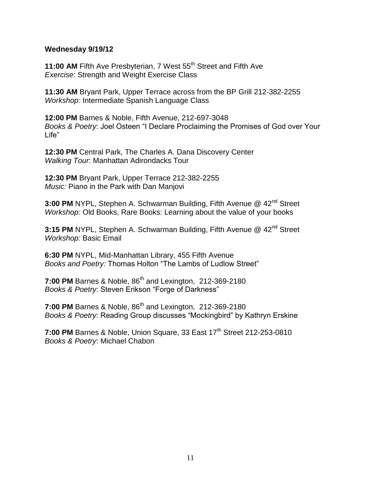### **Wednesday 9/19/12**

**11:00 AM** Fifth Ave Presbyterian, 7 West 55<sup>th</sup> Street and Fifth Ave *Exercise:* Strength and Weight Exercise Class

**11:30 AM** Bryant Park, Upper Terrace across from the BP Grill 212-382-2255 *Workshop:* Intermediate Spanish Language Class

**12:00 PM** Barnes & Noble, Fifth Avenue, 212-697-3048 *Books & Poetry*: Joel Osteen "I Declare Proclaiming the Promises of God over Your Life"

**12:30 PM** Central Park, The Charles A. Dana Discovery Center *Walking Tour*: Manhattan Adirondacks Tour

**12:30 PM** Bryant Park, Upper Terrace 212-382-2255 *Music:* Piano in the Park with Dan Manjovi

**3:00 PM** NYPL, Stephen A. Schwarman Building, Fifth Avenue @ 42<sup>nd</sup> Street *Workshop:* Old Books, Rare Books: Learning about the value of your books

**3:15 PM** NYPL, Stephen A. Schwarman Building, Fifth Avenue @ 42<sup>nd</sup> Street *Workshop:* Basic Email

**6:30 PM** NYPL, Mid-Manhattan Library, 455 Fifth Avenue *Books and Poetry:* Thomas Holton "The Lambs of Ludlow Street"

**7:00 PM** Barnes & Noble, 86<sup>th</sup> and Lexington, 212-369-2180 *Books & Poetry*: Steven Erikson "Forge of Darkness"

**7:00 PM** Barnes & Noble, 86<sup>th</sup> and Lexington, 212-369-2180 *Books & Poetry*: Reading Group discusses "Mockingbird" by Kathryn Erskine

**7:00 PM** Barnes & Noble, Union Square, 33 East 17<sup>th</sup> Street 212-253-0810 *Books & Poetry*: Michael Chabon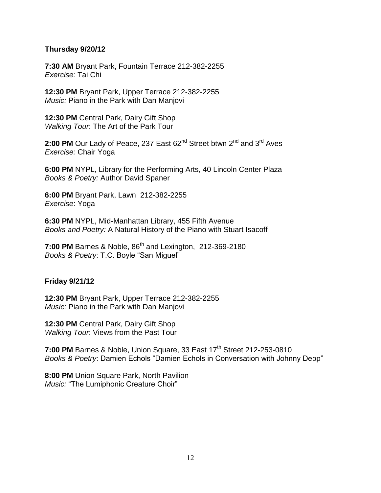# **Thursday 9/20/12**

**7:30 AM** Bryant Park, Fountain Terrace 212-382-2255 *Exercise:* Tai Chi

**12:30 PM** Bryant Park, Upper Terrace 212-382-2255 *Music:* Piano in the Park with Dan Manjovi

**12:30 PM** Central Park, Dairy Gift Shop *Walking Tour*: The Art of the Park Tour

2:00 PM Our Lady of Peace, 237 East 62<sup>nd</sup> Street btwn 2<sup>nd</sup> and 3<sup>rd</sup> Aves *Exercise:* Chair Yoga

**6:00 PM** NYPL, Library for the Performing Arts, 40 Lincoln Center Plaza *Books & Poetry:* Author David Spaner

**6:00 PM** Bryant Park, Lawn 212-382-2255 *Exercise*: Yoga

**6:30 PM** NYPL, Mid-Manhattan Library, 455 Fifth Avenue *Books and Poetry:* A Natural History of the Piano with Stuart Isacoff

**7:00 PM** Barnes & Noble, 86<sup>th</sup> and Lexington, 212-369-2180 *Books & Poetry*: T.C. Boyle "San Miguel"

# **Friday 9/21/12**

**12:30 PM** Bryant Park, Upper Terrace 212-382-2255 *Music:* Piano in the Park with Dan Manjovi

**12:30 PM** Central Park, Dairy Gift Shop *Walking Tour*: Views from the Past Tour

**7:00 PM** Barnes & Noble, Union Square, 33 East 17<sup>th</sup> Street 212-253-0810 *Books & Poetry*: Damien Echols "Damien Echols in Conversation with Johnny Depp"

**8:00 PM** Union Square Park, North Pavilion *Music:* "The Lumiphonic Creature Choir"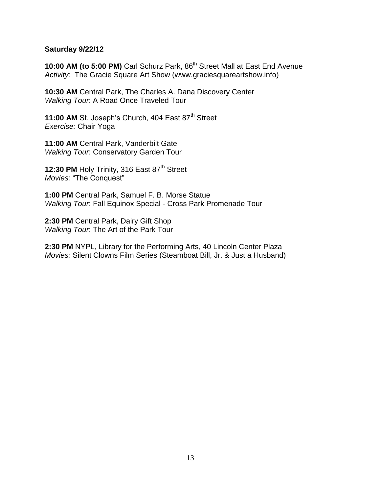## **Saturday 9/22/12**

**10:00 AM (to 5:00 PM)** Carl Schurz Park, 86<sup>th</sup> Street Mall at East End Avenue *Activity:* The Gracie Square Art Show (www.graciesquareartshow.info)

**10:30 AM** Central Park, The Charles A. Dana Discovery Center *Walking Tour*: A Road Once Traveled Tour

**11:00 AM St. Joseph's Church, 404 East 87<sup>th</sup> Street** *Exercise:* Chair Yoga

**11:00 AM** Central Park, Vanderbilt Gate *Walking Tour*: Conservatory Garden Tour

**12:30 PM Holy Trinity, 316 East 87<sup>th</sup> Street** *Movies:* "The Conquest"

**1:00 PM** Central Park, Samuel F. B. Morse Statue *Walking Tour*: Fall Equinox Special - Cross Park Promenade Tour

**2:30 PM** Central Park, Dairy Gift Shop *Walking Tour*: The Art of the Park Tour

**2:30 PM** NYPL, Library for the Performing Arts, 40 Lincoln Center Plaza *Movies:* Silent Clowns Film Series (Steamboat Bill, Jr. & Just a Husband)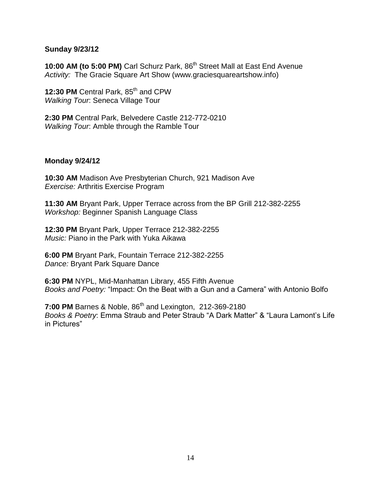## **Sunday 9/23/12**

**10:00 AM (to 5:00 PM)** Carl Schurz Park, 86<sup>th</sup> Street Mall at East End Avenue *Activity:* The Gracie Square Art Show (www.graciesquareartshow.info)

12:30 PM Central Park, 85<sup>th</sup> and CPW *Walking Tour*: Seneca Village Tour

**2:30 PM** Central Park, Belvedere Castle 212-772-0210 *Walking Tour*: Amble through the Ramble Tour

## **Monday 9/24/12**

**10:30 AM** Madison Ave Presbyterian Church, 921 Madison Ave *Exercise:* Arthritis Exercise Program

**11:30 AM** Bryant Park, Upper Terrace across from the BP Grill 212-382-2255 *Workshop:* Beginner Spanish Language Class

**12:30 PM** Bryant Park, Upper Terrace 212-382-2255 *Music:* Piano in the Park with Yuka Aikawa

**6:00 PM** Bryant Park, Fountain Terrace 212-382-2255 *Dance:* Bryant Park Square Dance

**6:30 PM** NYPL, Mid-Manhattan Library, 455 Fifth Avenue *Books and Poetry:* "Impact: On the Beat with a Gun and a Camera" with Antonio Bolfo

**7:00 PM** Barnes & Noble, 86<sup>th</sup> and Lexington, 212-369-2180 *Books & Poetry*: Emma Straub and Peter Straub "A Dark Matter" & "Laura Lamont's Life in Pictures"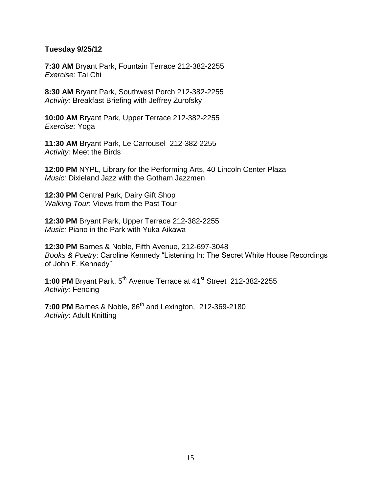## **Tuesday 9/25/12**

**7:30 AM** Bryant Park, Fountain Terrace 212-382-2255 *Exercise:* Tai Chi

**8:30 AM** Bryant Park, Southwest Porch 212-382-2255 *Activity:* Breakfast Briefing with Jeffrey Zurofsky

**10:00 AM** Bryant Park, Upper Terrace 212-382-2255 *Exercise:* Yoga

**11:30 AM** Bryant Park, Le Carrousel 212-382-2255 *Activity:* Meet the Birds

**12:00 PM** NYPL, Library for the Performing Arts, 40 Lincoln Center Plaza *Music:* Dixieland Jazz with the Gotham Jazzmen

**12:30 PM** Central Park, Dairy Gift Shop *Walking Tour*: Views from the Past Tour

**12:30 PM** Bryant Park, Upper Terrace 212-382-2255 *Music:* Piano in the Park with Yuka Aikawa

**12:30 PM** Barnes & Noble, Fifth Avenue, 212-697-3048 *Books & Poetry*: Caroline Kennedy "Listening In: The Secret White House Recordings of John F. Kennedy"

1:00 PM Bryant Park, 5<sup>th</sup> Avenue Terrace at 41<sup>st</sup> Street 212-382-2255 *Activity:* Fencing

**7:00 PM** Barnes & Noble, 86<sup>th</sup> and Lexington, 212-369-2180 *Activity*: Adult Knitting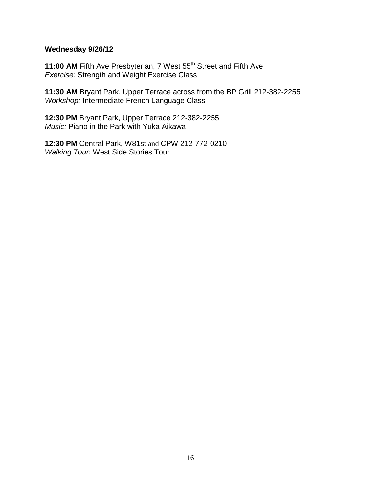# **Wednesday 9/26/12**

**11:00 AM** Fifth Ave Presbyterian, 7 West 55<sup>th</sup> Street and Fifth Ave *Exercise:* Strength and Weight Exercise Class

**11:30 AM** Bryant Park, Upper Terrace across from the BP Grill 212-382-2255 *Workshop:* Intermediate French Language Class

**12:30 PM** Bryant Park, Upper Terrace 212-382-2255 *Music:* Piano in the Park with Yuka Aikawa

**12:30 PM** Central Park, W81st and CPW 212-772-0210 *Walking Tour*: West Side Stories Tour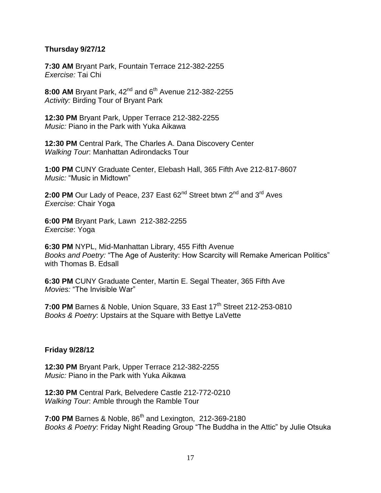# **Thursday 9/27/12**

**7:30 AM** Bryant Park, Fountain Terrace 212-382-2255 *Exercise:* Tai Chi

8:00 AM Bryant Park, 42<sup>nd</sup> and 6<sup>th</sup> Avenue 212-382-2255 *Activity:* Birding Tour of Bryant Park

**12:30 PM** Bryant Park, Upper Terrace 212-382-2255 *Music:* Piano in the Park with Yuka Aikawa

**12:30 PM** Central Park, The Charles A. Dana Discovery Center *Walking Tour*: Manhattan Adirondacks Tour

**1:00 PM** CUNY Graduate Center, Elebash Hall, 365 Fifth Ave 212-817-8607 *Music:* "Music in Midtown"

2:00 PM Our Lady of Peace, 237 East 62<sup>nd</sup> Street btwn 2<sup>nd</sup> and 3<sup>rd</sup> Aves *Exercise:* Chair Yoga

**6:00 PM** Bryant Park, Lawn 212-382-2255 *Exercise*: Yoga

**6:30 PM** NYPL, Mid-Manhattan Library, 455 Fifth Avenue *Books and Poetry:* "The Age of Austerity: How Scarcity will Remake American Politics" with Thomas B. Edsall

**6:30 PM** CUNY Graduate Center, Martin E. Segal Theater, 365 Fifth Ave *Movies:* "The Invisible War"

**7:00 PM** Barnes & Noble, Union Square, 33 East 17<sup>th</sup> Street 212-253-0810 *Books & Poetry*: Upstairs at the Square with Bettye LaVette

#### **Friday 9/28/12**

**12:30 PM** Bryant Park, Upper Terrace 212-382-2255 *Music:* Piano in the Park with Yuka Aikawa

**12:30 PM** Central Park, Belvedere Castle 212-772-0210 *Walking Tour*: Amble through the Ramble Tour

**7:00 PM** Barnes & Noble, 86<sup>th</sup> and Lexington, 212-369-2180 *Books & Poetry*: Friday Night Reading Group "The Buddha in the Attic" by Julie Otsuka